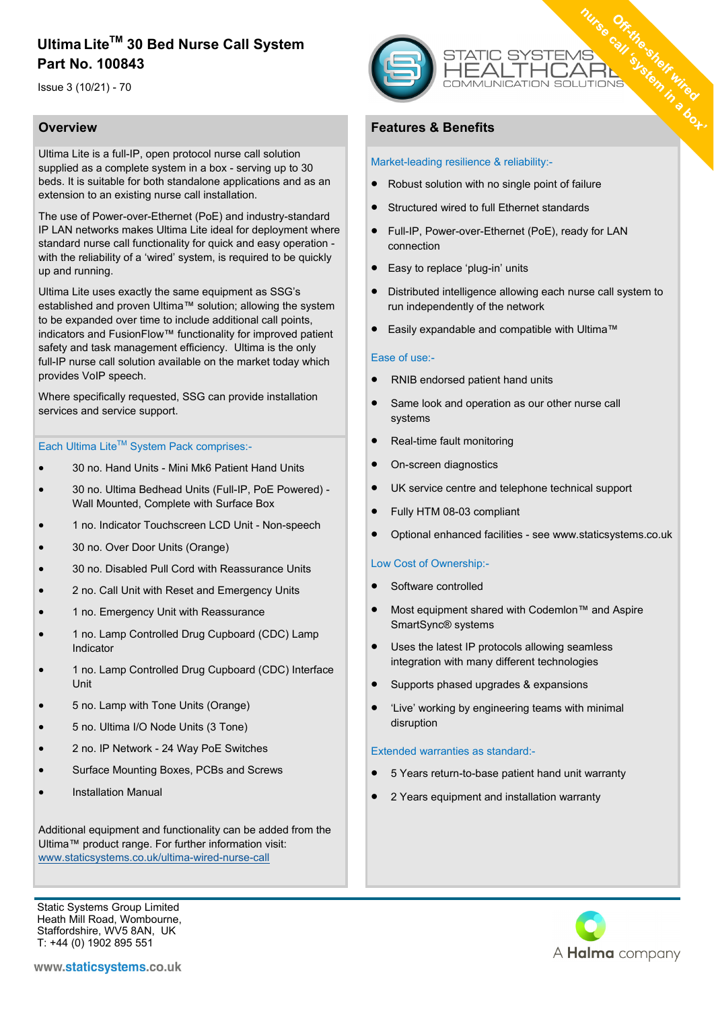# **Ultima LiteTM 30 Bed Nurse Call System Part No. 100843**

Issue 3 (10/21) - 70

## **Overview**

Ultima Lite is a full-IP, open protocol nurse call solution supplied as a complete system in a box - serving up to 30 beds. It is suitable for both standalone applications and as an extension to an existing nurse call installation.

The use of Power-over-Ethernet (PoE) and industry-standard IP LAN networks makes Ultima Lite ideal for deployment where standard nurse call functionality for quick and easy operation with the reliability of a 'wired' system, is required to be quickly up and running.

Ultima Lite uses exactly the same equipment as SSG's established and proven Ultima™ solution; allowing the system to be expanded over time to include additional call points, indicators and FusionFlow™ functionality for improved patient safety and task management efficiency. Ultima is the only full-IP nurse call solution available on the market today which provides VoIP speech.

Where specifically requested, SSG can provide installation services and service support.

## Each Ultima Lite™ System Pack comprises:-

- 30 no. Hand Units Mini Mk6 Patient Hand Units
- 30 no. Ultima Bedhead Units (Full-IP, PoE Powered) Wall Mounted, Complete with Surface Box
- 1 no. Indicator Touchscreen LCD Unit Non-speech
- 30 no. Over Door Units (Orange)
- 30 no. Disabled Pull Cord with Reassurance Units
- 2 no. Call Unit with Reset and Emergency Units
- 1 no. Emergency Unit with Reassurance
- 1 no. Lamp Controlled Drug Cupboard (CDC) Lamp Indicator
- 1 no. Lamp Controlled Drug Cupboard (CDC) Interface Unit
- 5 no. Lamp with Tone Units (Orange)
- 5 no. Ultima I/O Node Units (3 Tone)
- 2 no. IP Network 24 Way PoE Switches
- Surface Mounting Boxes, PCBs and Screws
- Installation Manual

Additional equipment and functionality can be added from the Ultima™ product range. For further information visit: [www.staticsystems.co.uk/ultima-wired-nurse-call](https://www.staticsystems.co.uk/ultima-wired-nurse-call)

**STATIC SYSTEMS**  $\Delta l$ HEALTHCARL<br>COMMUNICATION SOLUTIONS

# **Features & Benefits**

### Market-leading resilience & reliability:-

- Robust solution with no single point of failure
- Structured wired to full Ethernet standards
- Full-IP, Power-over-Ethernet (PoE), ready for LAN connection
- Easy to replace 'plug-in' units
- Distributed intelligence allowing each nurse call system to run independently of the network
- Easily expandable and compatible with Ultima™

#### Ease of use:-

- RNIB endorsed patient hand units
- Same look and operation as our other nurse call systems
- Real-time fault monitoring
- On-screen diagnostics
- UK service centre and telephone technical support
- Fully HTM 08-03 compliant
- Optional enhanced facilities see www.staticsystems.co.uk

## Low Cost of Ownership:-

- Software controlled
- Most equipment shared with Codemlon™ and Aspire SmartSync® systems
- Uses the latest IP protocols allowing seamless integration with many different technologies
- Supports phased upgrades & expansions
- 'Live' working by engineering teams with minimal disruption

#### Extended warranties as standard:-

- 5 Years return-to-base patient hand unit warranty
- 2 Years equipment and installation warranty



www.staticsystems.co.uk

Static Systems Group Limited Heath Mill Road, Wombourne, Staffordshire, WV5 8AN, UK T: +44 (0) 1902 895 551